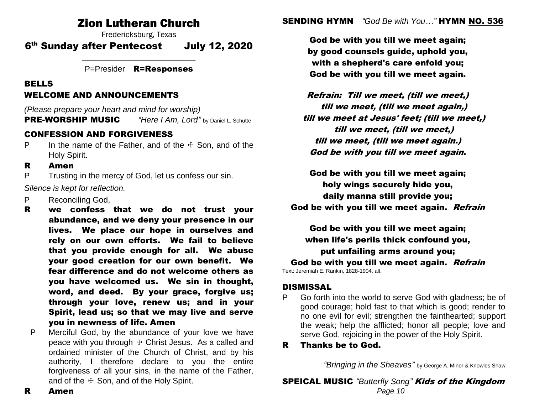# Zion Lutheran Church

Fredericksburg, Texas

### 6 th Sunday after Pentecost July 12, 2020 \_\_\_\_\_\_\_\_\_\_\_\_\_\_\_\_\_\_\_\_\_\_\_\_\_\_\_\_

P=Presider R=Responses

### BELLS WELCOME AND ANNOUNCEMENTS

*(Please prepare your heart and mind for worship)* PRE-WORSHIP MUSIC *"Here I Am, Lord"* by Daniel L. Schutte

### CONFESSION AND FORGIVENESS

P In the name of the Father, and of the  $\pm$  Son, and of the Holy Spirit.

### R Amen

P Trusting in the mercy of God, let us confess our sin.

*Silence is kept for reflection.*

- P Reconciling God,
- R we confess that we do not trust your abundance, and we deny your presence in our lives. We place our hope in ourselves and rely on our own efforts. We fail to believe that you provide enough for all. We abuse your good creation for our own benefit. We fear difference and do not welcome others as you have welcomed us. We sin in thought, word, and deed. By your grace, forgive us; through your love, renew us; and in your Spirit, lead us; so that we may live and serve you in newness of life. Amen
	- P Merciful God, by the abundance of your love we have peace with you through  $+$  Christ Jesus. As a called and ordained minister of the Church of Christ, and by his authority, I therefore declare to you the entire forgiveness of all your sins, in the name of the Father, and of the  $+$  Son, and of the Holy Spirit.

God be with you till we meet again; by good counsels guide, uphold you, with a shepherd's care enfold you; God be with you till we meet again.

Refrain: Till we meet, (till we meet,) till we meet, (till we meet again,) till we meet at Jesus' feet; (till we meet,) till we meet, (till we meet,) till we meet, (till we meet again.) God be with you till we meet again.

God be with you till we meet again; holy wings securely hide you, daily manna still provide you; God be with you till we meet again. Refrain

God be with you till we meet again; when life's perils thick confound you, put unfailing arms around you;

God be with you till we meet again. Refrain Text: Jeremiah E. Rankin, 1828-1904, alt.

### DISMISSAL

P Go forth into the world to serve God with gladness; be of good courage; hold fast to that which is good; render to no one evil for evil; strengthen the fainthearted; support the weak; help the afflicted; honor all people; love and serve God, rejoicing in the power of the Holy Spirit.

R Thanks be to God.

*"Bringing in the Sheaves"* by George A. Minor & Knowles Shaw

SPEICAL MUSIC *"Butterfly Song"* Kids of the Kingdom *Page 10*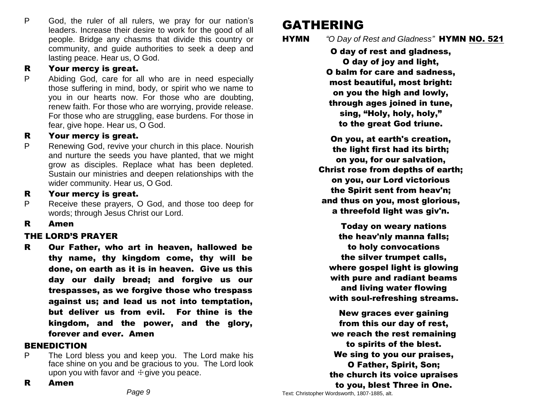P God, the ruler of all rulers, we pray for our nation's leaders. Increase their desire to work for the good of all people. Bridge any chasms that divide this country or community, and guide authorities to seek a deep and lasting peace. Hear us, O God.

### R Your mercy is great.

P Abiding God, care for all who are in need especially those suffering in mind, body, or spirit who we name to you in our hearts now. For those who are doubting, renew faith. For those who are worrying, provide release. For those who are struggling, ease burdens. For those in fear, give hope. Hear us, O God.

### R Your mercy is great.

P Renewing God, revive your church in this place. Nourish and nurture the seeds you have planted, that we might grow as disciples. Replace what has been depleted. Sustain our ministries and deepen relationships with the wider community. Hear us, O God.

### R Your mercy is great.

- P Receive these prayers, O God, and those too deep for words; through Jesus Christ our Lord.
- R Amen

# THE LORD'S PRAYER

R Our Father, who art in heaven, hallowed be thy name, thy kingdom come, thy will be done, on earth as it is in heaven. Give us this day our daily bread; and forgive us our trespasses, as we forgive those who trespass against us; and lead us not into temptation, but deliver us from evil. For thine is the kingdom, and the power, and the glory, forever and ever. Amen

### BENEDICTION

- P The Lord bless you and keep you. The Lord make his face shine on you and be gracious to you. The Lord look upon you with favor and  $\dagger$  give you peace.
- R Amen

# GATHERING

- HYMN *"O Day of Rest and Gladness"* HYMN NO. 521
	- O day of rest and gladness, O day of joy and light, O balm for care and sadness, most beautiful, most bright: on you the high and lowly, through ages joined in tune, sing, "Holy, holy, holy," to the great God triune.

On you, at earth's creation, the light first had its birth; on you, for our salvation, Christ rose from depths of earth; on you, our Lord victorious the Spirit sent from heav'n; and thus on you, most glorious, a threefold light was giv'n.

Today on weary nations the heav'nly manna falls; to holy convocations the silver trumpet calls, where gospel light is glowing with pure and radiant beams and living water flowing with soul-refreshing streams.

New graces ever gaining from this our day of rest, we reach the rest remaining to spirits of the blest. We sing to you our praises, O Father, Spirit, Son; the church its voice upraises to you, blest Three in One.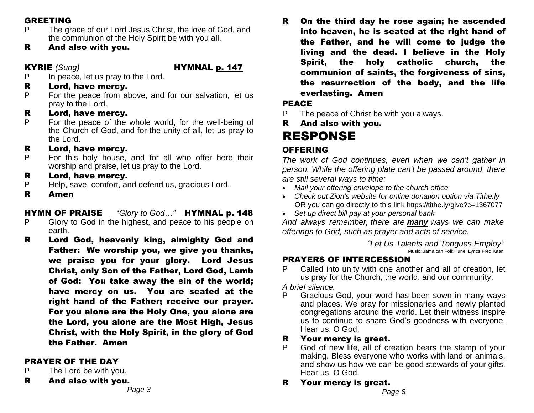### GREETING

- P The grace of our Lord Jesus Christ, the love of God, and the communion of the Holy Spirit be with you all.
- R And also with you.

KYRIE *(Sung)* HYMNAL p. 147

P In peace, let us pray to the Lord.

### R Lord, have mercy.

P For the peace from above, and for our salvation, let us pray to the Lord.

### R Lord, have mercy.

P For the peace of the whole world, for the well-being of the Church of God, and for the unity of all, let us pray to the Lord.

### R Lord, have mercy.

P For this holy house, and for all who offer here their worship and praise, let us pray to the Lord.

### R Lord, have mercy.

- P Help, save, comfort, and defend us, gracious Lord.
- R Amen

# HYMN OF PRAISE *"Glory to God…"* HYMNAL p. 148

- P Glory to God in the highest, and peace to his people on earth.
- R Lord God, heavenly king, almighty God and Father: We worship you, we give you thanks, we praise you for your glory. Lord Jesus Christ, only Son of the Father, Lord God, Lamb of God: You take away the sin of the world; have mercy on us. You are seated at the right hand of the Father; receive our prayer. For you alone are the Holy One, you alone are the Lord, you alone are the Most High, Jesus Christ, with the Holy Spirit, in the glory of God the Father. Amen

### PRAYER OF THE DAY

- P The Lord be with you.
- R And also with you.

*Page 3*

R On the third day he rose again; he ascended into heaven, he is seated at the right hand of the Father, and he will come to judge the living and the dead. I believe in the Holy Spirit, the holy catholic church, the communion of saints, the forgiveness of sins, the resurrection of the body, and the life everlasting. Amen

# PEACE

P The peace of Christ be with you always.

R And also with you.

# RESPONSE

# OFFERING

*The work of God continues, even when we can't gather in person. While the offering plate can't be passed around, there are still several ways to tithe:*

- *Mail your offering envelope to the church office*
- *Check out Zion's website for online donation option via Tithe.ly* OR you can go directly to this link <https://tithe.ly/give?c=1367077>
- *Set up direct bill pay at your personal bank*

*And always remember, there are many ways we can make offerings to God, such as prayer and acts of service.*

> *"Let Us Talents and Tongues Employ"* Music: Jamaican Folk Tune; Lyrics:Fred Kaan

# PRAYERS OF INTERCESSION

P Called into unity with one another and all of creation, let us pray for the Church, the world, and our community.

*A brief silence.*

P Gracious God, your word has been sown in many ways and places. We pray for missionaries and newly planted congregations around the world. Let their witness inspire us to continue to share God's goodness with everyone. Hear us, O God.

# R Your mercy is great.

P God of new life, all of creation bears the stamp of your making. Bless everyone who works with land or animals, and show us how we can be good stewards of your gifts. Hear us, O God.

# R Your mercy is great.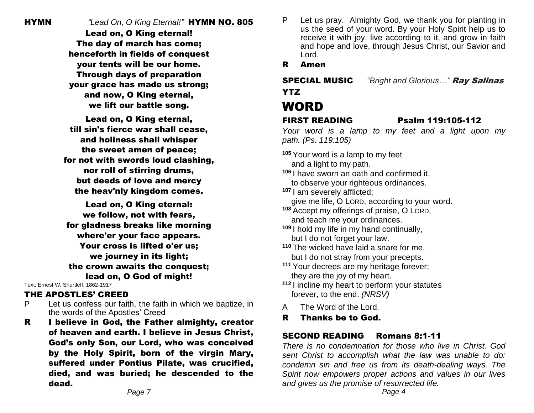HYMN *"Lead On, O King Eternal!"* HYMN NO. 805

Lead on, O King eternal! The day of march has come; henceforth in fields of conquest your tents will be our home. Through days of preparation your grace has made us strong; and now, O King eternal, we lift our battle song.

Lead on, O King eternal, till sin's fierce war shall cease, and holiness shall whisper the sweet amen of peace; for not with swords loud clashing, nor roll of stirring drums, but deeds of love and mercy the heav'nly kingdom comes.

Lead on, O King eternal: we follow, not with fears, for gladness breaks like morning where'er your face appears. Your cross is lifted o'er us; we journey in its light; the crown awaits the conquest; lead on, O God of might!

Text: Ernest W. Shurtleff, 1862-1917

### THE APOSTLES' CREED

- P Let us confess our faith, the faith in which we baptize, in the words of the Apostles' Creed
- R I believe in God, the Father almighty, creator of heaven and earth. I believe in Jesus Christ, God's only Son, our Lord, who was conceived by the Holy Spirit, born of the virgin Mary, suffered under Pontius Pilate, was crucified, died, and was buried; he descended to the dead.
- P Let us pray. Almighty God, we thank you for planting in us the seed of your word. By your Holy Spirit help us to receive it with joy, live according to it, and grow in faith and hope and love, through Jesus Christ, our Savior and Lord.
- R Amen

SPECIAL MUSIC *"Bright and Glorious…"* Ray Salinas YTZ

# WORD

### FIRST READING Psalm 119:105-112

*Your word is a lamp to my feet and a light upon my path. (Ps. 119:105)*

- **<sup>105</sup>** Your word is a lamp to my feet and a light to my path.
- **<sup>106</sup>** I have sworn an oath and confirmed it, to observe your righteous ordinances.
- **<sup>107</sup>** I am severely afflicted;

give me life, O LORD, according to your word.

- **<sup>108</sup>** Accept my offerings of praise, O LORD, and teach me your ordinances.
- **<sup>109</sup>** I hold my life in my hand continually, but I do not forget your law.
- **<sup>110</sup>** The wicked have laid a snare for me, but I do not stray from your precepts.
- **<sup>111</sup>** Your decrees are my heritage forever; they are the joy of my heart.
- **<sup>112</sup>** I incline my heart to perform your statutes forever, to the end. *(NRSV)*
- A The Word of the Lord.
- R Thanks be to God.

### SECOND READING Romans 8:1-11

*There is no condemnation for those who live in Christ. God sent Christ to accomplish what the law was unable to do: condemn sin and free us from its death-dealing ways. The Spirit now empowers proper actions and values in our lives and gives us the promise of resurrected life.*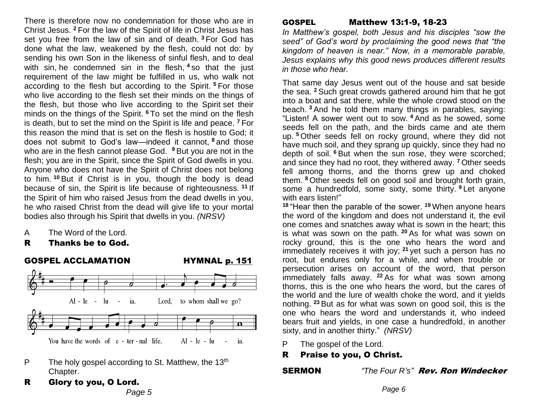There is therefore now no condemnation for those who are in Christ Jesus. **<sup>2</sup>** For the law of the Spirit of life in Christ Jesus has set you free from the law of sin and of death. **<sup>3</sup>** For God has done what the law, weakened by the flesh, could not do: by sending his own Son in the likeness of sinful flesh, and to deal with sin, he condemned sin in the flesh, **<sup>4</sup>** so that the just requirement of the law might be fulfilled in us, who walk not according to the flesh but according to the Spirit. **<sup>5</sup>** For those who live according to the flesh set their minds on the things of the flesh, but those who live according to the Spirit set their minds on the things of the Spirit. **<sup>6</sup>** To set the mind on the flesh is death, but to set the mind on the Spirit is life and peace. **<sup>7</sup>** For this reason the mind that is set on the flesh is hostile to God; it does not submit to God's law—indeed it cannot, **<sup>8</sup>** and those who are in the flesh cannot please God. **<sup>9</sup>** But you are not in the flesh; you are in the Spirit, since the Spirit of God dwells in you. Anyone who does not have the Spirit of Christ does not belong to him. **<sup>10</sup>** But if Christ is in you, though the body is dead because of sin, the Spirit is life because of righteousness. **<sup>11</sup>** If the Spirit of him who raised Jesus from the dead dwells in you, he who raised Christ from the dead will give life to your mortal bodies also through his Spirit that dwells in you. *(NRSV)*

- A The Word of the Lord.
- R Thanks be to God.

### GOSPEL ACCLAMATION HYMNAL p. 151





- P The holy gospel according to St. Matthew, the  $13<sup>th</sup>$ Chapter.
- R Glory to you, O Lord.

# GOSPEL Matthew 13:1-9, 18-23

*In Matthew's gospel, both Jesus and his disciples "sow the seed" of God's word by proclaiming the good news that "the kingdom of heaven is near." Now, in a memorable parable, Jesus explains why this good news produces different results in those who hear.*

That same day Jesus went out of the house and sat beside the sea. **<sup>2</sup>** Such great crowds gathered around him that he got into a boat and sat there, while the whole crowd stood on the beach. **<sup>3</sup>** And he told them many things in parables, saying: "Listen! A sower went out to sow. **<sup>4</sup>** And as he sowed, some seeds fell on the path, and the birds came and ate them up. **<sup>5</sup>** Other seeds fell on rocky ground, where they did not have much soil, and they sprang up quickly, since they had no depth of soil. **<sup>6</sup>** But when the sun rose, they were scorched; and since they had no root, they withered away. **<sup>7</sup>** Other seeds fell among thorns, and the thorns grew up and choked them. **<sup>8</sup>** Other seeds fell on good soil and brought forth grain, some a hundredfold, some sixty, some thirty. **<sup>9</sup>** Let anyone with ears listen!"

**<sup>18</sup>** "Hear then the parable of the sower. **<sup>19</sup>** When anyone hears the word of the kingdom and does not understand it, the evil one comes and snatches away what is sown in the heart; this is what was sown on the path. **<sup>20</sup>** As for what was sown on rocky ground, this is the one who hears the word and immediately receives it with joy; **<sup>21</sup>** yet such a person has no root, but endures only for a while, and when trouble or persecution arises on account of the word, that person immediately falls away. **<sup>22</sup>** As for what was sown among thorns, this is the one who hears the word, but the cares of the world and the lure of wealth choke the word, and it yields nothing. **<sup>23</sup>** But as for what was sown on good soil, this is the one who hears the word and understands it, who indeed bears fruit and yields, in one case a hundredfold, in another sixty, and in another thirty." *(NRSV)*

P The gospel of the Lord.

# R Praise to you, O Christ.

SERMON *"The Four R's"* Rev. Ron Windecker